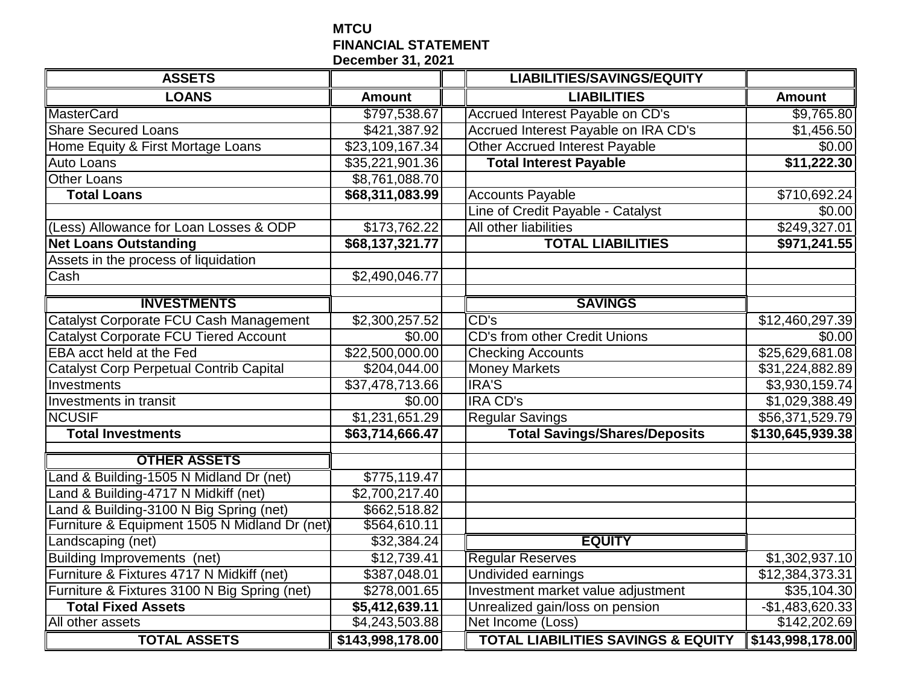## **MTCU FINANCIAL STATEMENT December 31, 2021**

| <b>ASSETS</b>                                 |                             | <b>LIABILITIES/SAVINGS/EQUITY</b>             |                  |
|-----------------------------------------------|-----------------------------|-----------------------------------------------|------------------|
| <b>LOANS</b>                                  | <b>Amount</b>               | <b>LIABILITIES</b>                            | <b>Amount</b>    |
| <b>MasterCard</b>                             | \$797,538.67                | Accrued Interest Payable on CD's              | \$9,765.80       |
| <b>Share Secured Loans</b>                    | \$421,387.92                | Accrued Interest Payable on IRA CD's          | \$1,456.50       |
| Home Equity & First Mortage Loans             | \$23,109,167.34             | <b>Other Accrued Interest Payable</b>         | \$0.00           |
| Auto Loans                                    | $\overline{$35,221,901}.36$ | <b>Total Interest Payable</b>                 | \$11,222.30      |
| <b>Other Loans</b>                            | \$8,761,088.70              |                                               |                  |
| <b>Total Loans</b>                            | \$68,311,083.99             | <b>Accounts Payable</b>                       | \$710,692.24     |
|                                               |                             | Line of Credit Payable - Catalyst             | \$0.00           |
| (Less) Allowance for Loan Losses & ODP        | \$173,762.22                | All other liabilities                         | \$249,327.01     |
| <b>Net Loans Outstanding</b>                  | \$68,137,321.77             | <b>TOTAL LIABILITIES</b>                      | \$971,241.55     |
| Assets in the process of liquidation          |                             |                                               |                  |
| Cash                                          | \$2,490,046.77              |                                               |                  |
|                                               |                             |                                               |                  |
| <b>INVESTMENTS</b>                            |                             | <b>SAVINGS</b>                                |                  |
| Catalyst Corporate FCU Cash Management        | \$2,300,257.52              | CD's                                          | \$12,460,297.39  |
| <b>Catalyst Corporate FCU Tiered Account</b>  | $\overline{$}0.00$          | <b>CD's from other Credit Unions</b>          | \$0.00           |
| EBA acct held at the Fed                      | \$22,500,000.00             | <b>Checking Accounts</b>                      | \$25,629,681.08  |
| Catalyst Corp Perpetual Contrib Capital       | \$204,044.00                | <b>Money Markets</b>                          | \$31,224,882.89  |
| Investments                                   | \$37,478,713.66             | <b>IRA'S</b>                                  | \$3,930,159.74   |
| Investments in transit                        | \$0.00                      | <b>IRA CD's</b>                               | \$1,029,388.49   |
| <b>NCUSIF</b>                                 | \$1,231,651.29              | <b>Regular Savings</b>                        | \$56,371,529.79  |
| <b>Total Investments</b>                      | \$63,714,666.47             | <b>Total Savings/Shares/Deposits</b>          | \$130,645,939.38 |
| <b>OTHER ASSETS</b>                           |                             |                                               |                  |
| Land & Building-1505 N Midland Dr (net)       | \$775,119.47                |                                               |                  |
| Land & Building-4717 N Midkiff (net)          | \$2,700,217.40              |                                               |                  |
| Land & Building-3100 N Big Spring (net)       | \$662,518.82                |                                               |                  |
| Furniture & Equipment 1505 N Midland Dr (net) | \$564,610.11                |                                               |                  |
| Landscaping (net)                             | \$32,384.24                 | <b>EQUITY</b>                                 |                  |
| Building Improvements (net)                   | \$12,739.41                 | <b>Regular Reserves</b>                       | \$1,302,937.10   |
| Furniture & Fixtures 4717 N Midkiff (net)     | \$387,048.01                | <b>Undivided earnings</b>                     | \$12,384,373.31  |
| Furniture & Fixtures 3100 N Big Spring (net)  | \$278,001.65                | Investment market value adjustment            | \$35,104.30      |
| <b>Total Fixed Assets</b>                     | \$5,412,639.11              | Unrealized gain/loss on pension               | $-$1,483,620.33$ |
| All other assets                              | \$4,243,503.88              | Net Income (Loss)                             | \$142,202.69     |
| <b>TOTAL ASSETS</b>                           | \$143,998,178.00            | <b>TOTAL LIABILITIES SAVINGS &amp; EQUITY</b> | \$143,998,178.00 |